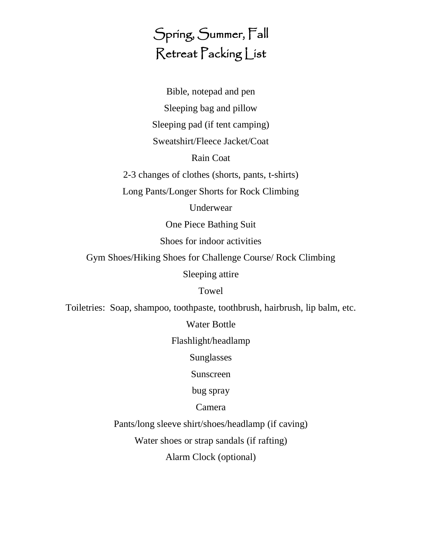# Spring, Summer, Fall Retreat Packing List

Bible, notepad and pen Sleeping bag and pillow Sleeping pad (if tent camping) Sweatshirt/Fleece Jacket/Coat

#### Rain Coat

2-3 changes of clothes (shorts, pants, t-shirts)

Long Pants/Longer Shorts for Rock Climbing

Underwear

One Piece Bathing Suit

Shoes for indoor activities

Gym Shoes/Hiking Shoes for Challenge Course/ Rock Climbing

Sleeping attire

Towel

Toiletries: Soap, shampoo, toothpaste, toothbrush, hairbrush, lip balm, etc.

Water Bottle

Flashlight/headlamp

Sunglasses

Sunscreen

bug spray

Camera

Pants/long sleeve shirt/shoes/headlamp (if caving)

Water shoes or strap sandals (if rafting)

Alarm Clock (optional)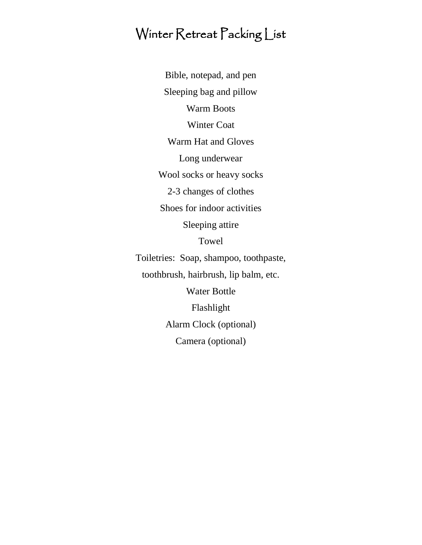#### Winter Retreat Packing List

Bible, notepad, and pen Sleeping bag and pillow Warm Boots Winter Coat Warm Hat and Gloves Long underwear Wool socks or heavy socks 2-3 changes of clothes Shoes for indoor activities Sleeping attire Towel Toiletries: Soap, shampoo, toothpaste, toothbrush, hairbrush, lip balm, etc. Water Bottle Flashlight Alarm Clock (optional) Camera (optional)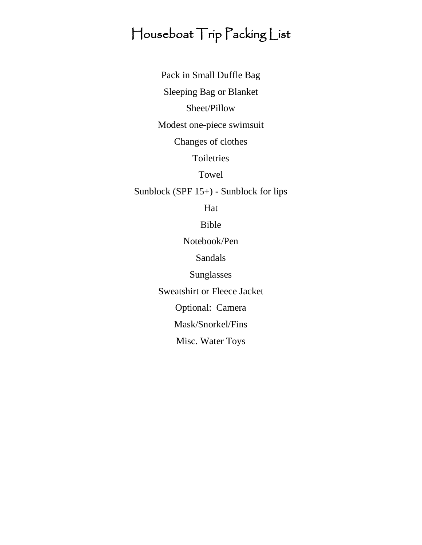## Houseboat Trip Packing List

Pack in Small Duffle Bag

Sleeping Bag or Blanket

Sheet/Pillow

Modest one-piece swimsuit

Changes of clothes

Toiletries

Towel

Sunblock (SPF 15+) - Sunblock for lips

Hat

Bible

Notebook/Pen

Sandals

Sunglasses

Sweatshirt or Fleece Jacket

Optional: Camera

Mask/Snorkel/Fins

Misc. Water Toys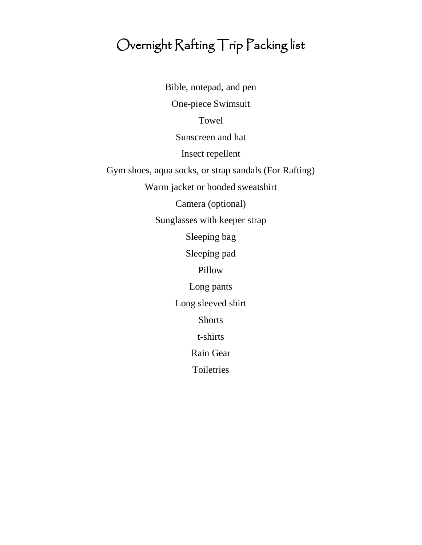# Overnight Rafting Trip Packing list

Bible, notepad, and pen One-piece Swimsuit Towel Sunscreen and hat Insect repellent Gym shoes, aqua socks, or strap sandals (For Rafting) Warm jacket or hooded sweatshirt Camera (optional) Sunglasses with keeper strap Sleeping bag Sleeping pad Pillow Long pants Long sleeved shirt Shorts t-shirts Rain Gear Toiletries